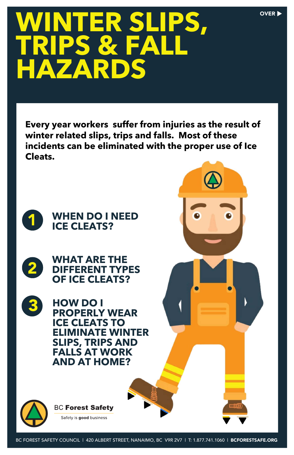# WINTER SLIPS, OVER **TRIPS & FALL HAZARDS**

**WHAT ARE THE DIFFERENT TYPES OF ICE CLEATS?**



**HOW DO I PROPERLY WEAR ICE CLEATS TO ELIMINATE WINTER** 



### **SLIPS, TRIPS AND FALLS AT WORK AND AT HOME?**



Safety is good business

BC FOREST SAFETY COUNCIL | 420 ALBERT STREET, NANAIMO, BC V9R 2V7 | T: 1.877.741.1060 | BCFORESTSAFE.ORG

2

**Every year workers suffer from injuries as the result of winter related slips, trips and falls. Most of these incidents can be eliminated with the proper use of Ice Cleats.** 

**3**